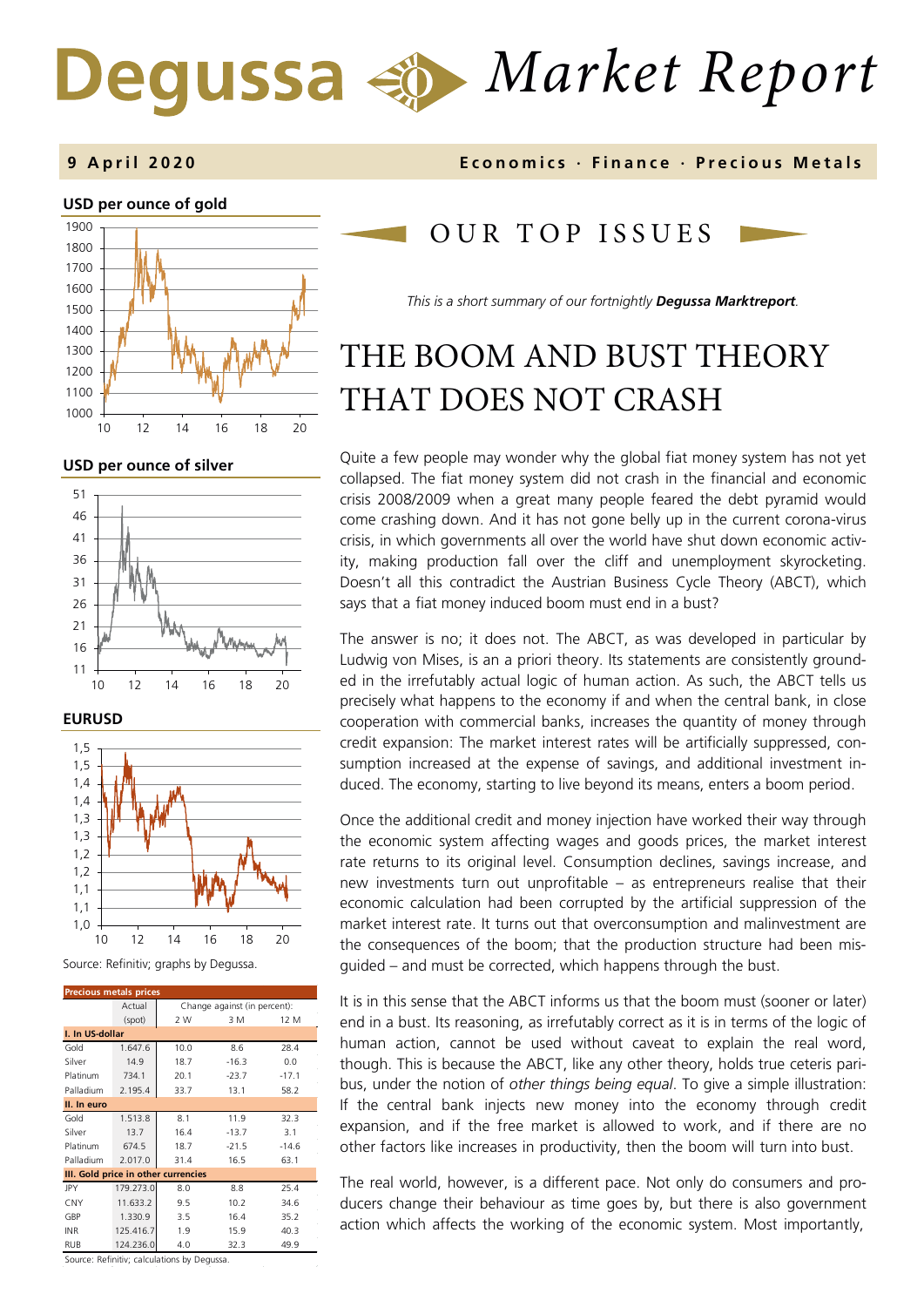# *Market Report* Degussa  $\Leftrightarrow$



**USD per ounce of silver** 



**EURUSD**



Source: Refinitiv; graphs by Degussa.

| <b>Precious metals prices</b> |           |                                     |         |         |  |  |  |  |  |
|-------------------------------|-----------|-------------------------------------|---------|---------|--|--|--|--|--|
|                               | Actual    | Change against (in percent):        |         |         |  |  |  |  |  |
|                               | (spot)    | 2 W<br>3 M<br>12 M                  |         |         |  |  |  |  |  |
| I. In US-dollar               |           |                                     |         |         |  |  |  |  |  |
| Gold                          | 1.647.6   | 10.0                                | 8.6     | 28.4    |  |  |  |  |  |
| Silver                        | 14.9      | 18.7                                | $-16.3$ | 0.0     |  |  |  |  |  |
| Platinum                      | 734.1     | 20.1                                | $-23.7$ | $-17.1$ |  |  |  |  |  |
| Palladium                     | 2.195.4   | 33.7                                | 13.1    | 58.2    |  |  |  |  |  |
| II. In euro                   |           |                                     |         |         |  |  |  |  |  |
| Gold                          | 1.513.8   | 8.1                                 | 11.9    | 32.3    |  |  |  |  |  |
| Silver                        | 13.7      | 16.4                                | $-13.7$ | 3.1     |  |  |  |  |  |
| Platinum                      | 674.5     | 18.7                                | $-21.5$ | $-14.6$ |  |  |  |  |  |
| Palladium                     | 2.017.0   | 31.4                                | 16.5    | 63.1    |  |  |  |  |  |
|                               |           | III. Gold price in other currencies |         |         |  |  |  |  |  |
| JPY                           | 179.273.0 | 8.0                                 | 8.8     | 25.4    |  |  |  |  |  |
| CNY                           | 11.633.2  | 9.5                                 | 10.2    | 34.6    |  |  |  |  |  |
| GBP                           | 1.330.9   | 3.5                                 | 16.4    | 35.2    |  |  |  |  |  |
| <b>INR</b>                    | 125.416.7 | 1.9                                 | 15.9    | 40.3    |  |  |  |  |  |
| <b>RUB</b>                    | 124.236.0 | 4.0                                 | 32.3    | 49.9    |  |  |  |  |  |

Source: Refinitiv; calculations by Degussa.

### **9 April 2020 Economics · Finance · Precious M etals**

# OUR TOP ISSUE S

*This is a short summary of our fortnightly Degussa Marktreport.* 

# THE BOOM AND BUST THEORY THAT DOES NOT CRASH

Quite a few people may wonder why the global fiat money system has not yet collapsed. The fiat money system did not crash in the financial and economic crisis 2008/2009 when a great many people feared the debt pyramid would come crashing down. And it has not gone belly up in the current corona-virus crisis, in which governments all over the world have shut down economic activity, making production fall over the cliff and unemployment skyrocketing. Doesn't all this contradict the Austrian Business Cycle Theory (ABCT), which says that a fiat money induced boom must end in a bust?

The answer is no; it does not. The ABCT, as was developed in particular by Ludwig von Mises, is an a priori theory. Its statements are consistently grounded in the irrefutably actual logic of human action. As such, the ABCT tells us precisely what happens to the economy if and when the central bank, in close cooperation with commercial banks, increases the quantity of money through credit expansion: The market interest rates will be artificially suppressed, consumption increased at the expense of savings, and additional investment induced. The economy, starting to live beyond its means, enters a boom period.

Once the additional credit and money injection have worked their way through the economic system affecting wages and goods prices, the market interest rate returns to its original level. Consumption declines, savings increase, and new investments turn out unprofitable – as entrepreneurs realise that their economic calculation had been corrupted by the artificial suppression of the market interest rate. It turns out that overconsumption and malinvestment are the consequences of the boom; that the production structure had been misguided – and must be corrected, which happens through the bust.

It is in this sense that the ABCT informs us that the boom must (sooner or later) end in a bust. Its reasoning, as irrefutably correct as it is in terms of the logic of human action, cannot be used without caveat to explain the real word, though. This is because the ABCT, like any other theory, holds true ceteris paribus, under the notion of *other things being equal*. To give a simple illustration: If the central bank injects new money into the economy through credit expansion, and if the free market is allowed to work, and if there are no other factors like increases in productivity, then the boom will turn into bust.

The real world, however, is a different pace. Not only do consumers and producers change their behaviour as time goes by, but there is also government action which affects the working of the economic system. Most importantly,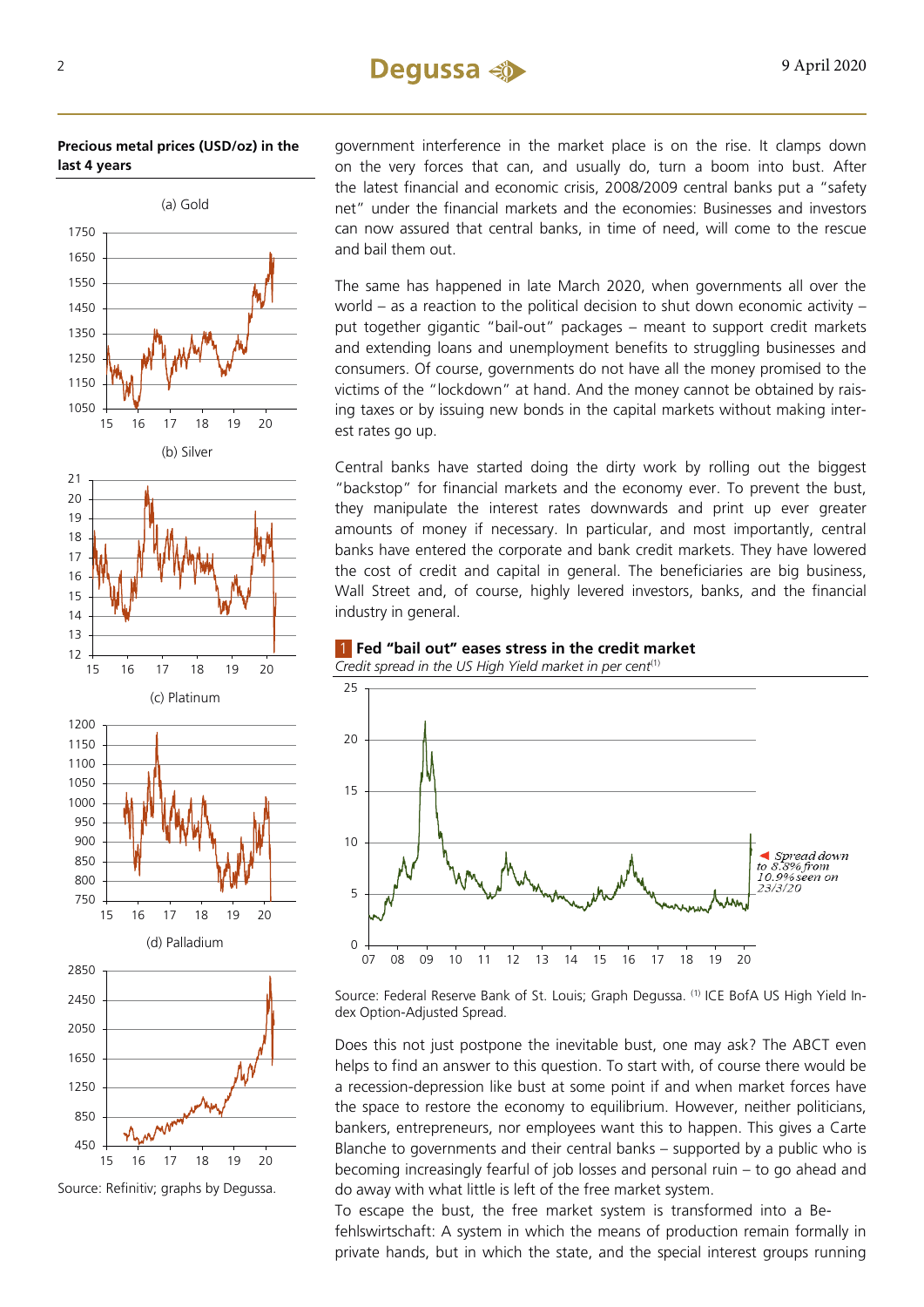## 2 9 April 2020

#### **Precious metal prices (USD/oz) in the last 4 years**



15 16 17 18 19 20

Source: Refinitiv; graphs by Degussa.

government interference in the market place is on the rise. It clamps down on the very forces that can, and usually do, turn a boom into bust. After the latest financial and economic crisis, 2008/2009 central banks put a "safety net" under the financial markets and the economies: Businesses and investors can now assured that central banks, in time of need, will come to the rescue and bail them out.

The same has happened in late March 2020, when governments all over the world – as a reaction to the political decision to shut down economic activity – put together gigantic "bail-out" packages – meant to support credit markets and extending loans and unemployment benefits to struggling businesses and consumers. Of course, governments do not have all the money promised to the victims of the "lockdown" at hand. And the money cannot be obtained by raising taxes or by issuing new bonds in the capital markets without making interest rates go up.

Central banks have started doing the dirty work by rolling out the biggest "backstop" for financial markets and the economy ever. To prevent the bust, they manipulate the interest rates downwards and print up ever greater amounts of money if necessary. In particular, and most importantly, central banks have entered the corporate and bank credit markets. They have lowered the cost of credit and capital in general. The beneficiaries are big business, Wall Street and, of course, highly levered investors, banks, and the financial industry in general.



1 **Fed "bail out" eases stress in the credit market**

Source: Federal Reserve Bank of St. Louis; Graph Degussa. (1) ICE BofA US High Yield Index Option-Adjusted Spread.

Does this not just postpone the inevitable bust, one may ask? The ABCT even helps to find an answer to this question. To start with, of course there would be a recession-depression like bust at some point if and when market forces have the space to restore the economy to equilibrium. However, neither politicians, bankers, entrepreneurs, nor employees want this to happen. This gives a Carte Blanche to governments and their central banks – supported by a public who is becoming increasingly fearful of job losses and personal ruin – to go ahead and do away with what little is left of the free market system.

To escape the bust, the free market system is transformed into a Befehlswirtschaft: A system in which the means of production remain formally in private hands, but in which the state, and the special interest groups running

12 13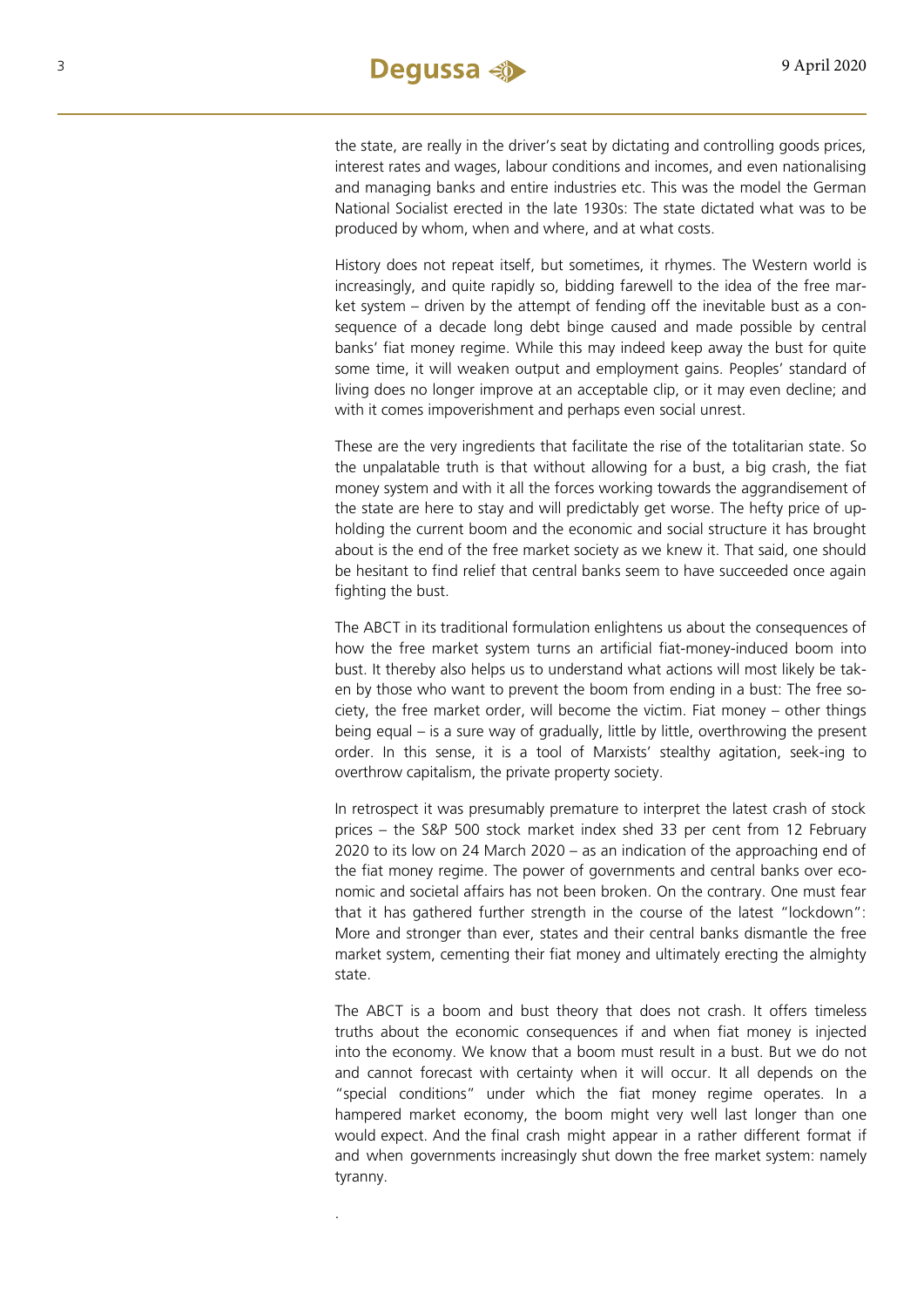the state, are really in the driver's seat by dictating and controlling goods prices, interest rates and wages, labour conditions and incomes, and even nationalising and managing banks and entire industries etc. This was the model the German National Socialist erected in the late 1930s: The state dictated what was to be produced by whom, when and where, and at what costs.

History does not repeat itself, but sometimes, it rhymes. The Western world is increasingly, and quite rapidly so, bidding farewell to the idea of the free market system – driven by the attempt of fending off the inevitable bust as a consequence of a decade long debt binge caused and made possible by central banks' fiat money regime. While this may indeed keep away the bust for quite some time, it will weaken output and employment gains. Peoples' standard of living does no longer improve at an acceptable clip, or it may even decline; and with it comes impoverishment and perhaps even social unrest.

These are the very ingredients that facilitate the rise of the totalitarian state. So the unpalatable truth is that without allowing for a bust, a big crash, the fiat money system and with it all the forces working towards the aggrandisement of the state are here to stay and will predictably get worse. The hefty price of upholding the current boom and the economic and social structure it has brought about is the end of the free market society as we knew it. That said, one should be hesitant to find relief that central banks seem to have succeeded once again fighting the bust.

The ABCT in its traditional formulation enlightens us about the consequences of how the free market system turns an artificial fiat-money-induced boom into bust. It thereby also helps us to understand what actions will most likely be taken by those who want to prevent the boom from ending in a bust: The free society, the free market order, will become the victim. Fiat money – other things being equal – is a sure way of gradually, little by little, overthrowing the present order. In this sense, it is a tool of Marxists' stealthy agitation, seek-ing to overthrow capitalism, the private property society.

In retrospect it was presumably premature to interpret the latest crash of stock prices – the S&P 500 stock market index shed 33 per cent from 12 February 2020 to its low on 24 March 2020 – as an indication of the approaching end of the fiat money regime. The power of governments and central banks over economic and societal affairs has not been broken. On the contrary. One must fear that it has gathered further strength in the course of the latest "lockdown": More and stronger than ever, states and their central banks dismantle the free market system, cementing their fiat money and ultimately erecting the almighty state.

The ABCT is a boom and bust theory that does not crash. It offers timeless truths about the economic consequences if and when fiat money is injected into the economy. We know that a boom must result in a bust. But we do not and cannot forecast with certainty when it will occur. It all depends on the "special conditions" under which the fiat money regime operates. In a hampered market economy, the boom might very well last longer than one would expect. And the final crash might appear in a rather different format if and when governments increasingly shut down the free market system: namely tyranny.

.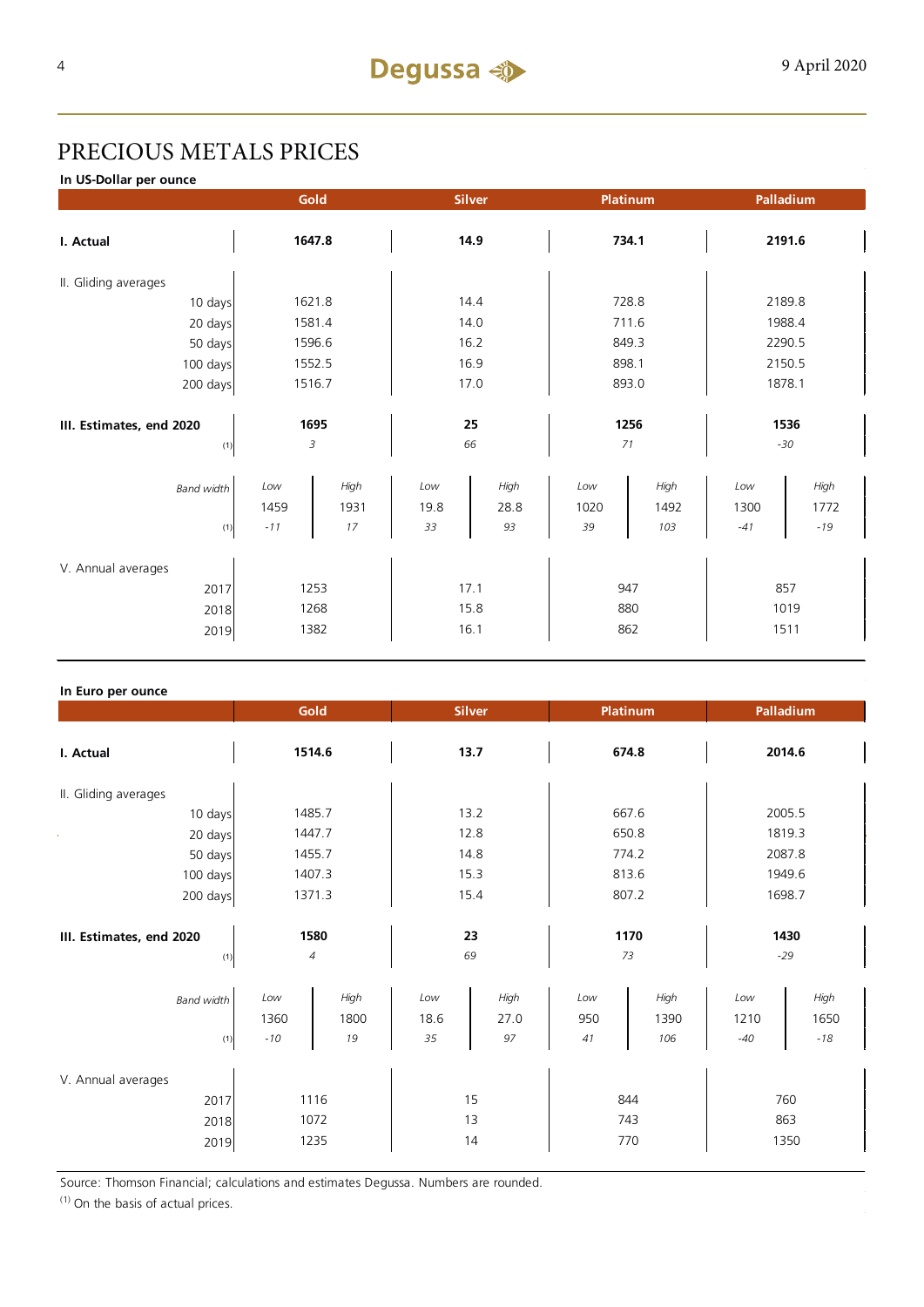# PRECIOUS METALS PRICES

**In US-Dollar per ounce**

|                          | Gold        |              |             | <b>Silver</b> |             | <b>Platinum</b> |             | Palladium    |  |
|--------------------------|-------------|--------------|-------------|---------------|-------------|-----------------|-------------|--------------|--|
| I. Actual                | 1647.8      |              | 14.9        |               |             | 734.1           | 2191.6      |              |  |
| II. Gliding averages     |             |              |             |               |             |                 |             |              |  |
| 10 days                  |             | 1621.8       | 14.4        |               |             | 728.8           | 2189.8      |              |  |
| 20 days                  |             | 1581.4       | 14.0        |               |             | 711.6           | 1988.4      |              |  |
| 50 days                  |             | 1596.6       | 16.2        |               | 849.3       |                 | 2290.5      |              |  |
| 100 days                 |             | 1552.5       |             | 16.9          |             | 898.1           |             | 2150.5       |  |
| 200 days                 | 1516.7      |              | 17.0        |               | 893.0       |                 | 1878.1      |              |  |
|                          |             |              |             |               |             |                 |             |              |  |
| III. Estimates, end 2020 | 1695        |              | 25          |               | 1256        |                 | 1536        |              |  |
| (1)                      | 3           |              |             | 66            | 71          |                 | $-30$       |              |  |
| <b>Band width</b>        | Low<br>1459 | High<br>1931 | Low<br>19.8 | High<br>28.8  | Low<br>1020 | High<br>1492    | Low<br>1300 | High<br>1772 |  |
| (1)                      | $-11$       | 17           | 33          | 93            | 39          | 103             | $-41$       | $-19$        |  |
|                          |             |              |             |               |             |                 |             |              |  |
| V. Annual averages       |             |              |             |               |             |                 |             |              |  |
| 2017                     | 1253        |              | 17.1        |               | 947         |                 | 857         |              |  |
| 2018                     | 1268        |              | 15.8        |               |             | 880             | 1019        |              |  |
| 2019                     |             | 1382         |             | 16.1          |             | 862             | 1511        |              |  |

#### **In Euro per ounce**

|                                            |                        | Gold               | <b>Silver</b>     |                    |                  | Platinum            | Palladium            |                       |  |
|--------------------------------------------|------------------------|--------------------|-------------------|--------------------|------------------|---------------------|----------------------|-----------------------|--|
| I. Actual                                  | 1514.6                 |                    | 13.7              |                    | 674.8            |                     | 2014.6               |                       |  |
| II. Gliding averages                       |                        |                    |                   |                    |                  |                     |                      |                       |  |
| 10 days                                    |                        | 1485.7             | 13.2              |                    | 667.6            |                     | 2005.5               |                       |  |
| 20 days                                    |                        | 1447.7             | 12.8              |                    | 650.8            |                     | 1819.3               |                       |  |
| 50 days                                    |                        | 1455.7             | 14.8              |                    | 774.2            |                     | 2087.8               |                       |  |
| 100 days                                   |                        | 1407.3             | 15.3              |                    | 813.6            |                     | 1949.6               |                       |  |
| 200 days                                   | 1371.3                 |                    | 15.4              |                    | 807.2            |                     | 1698.7               |                       |  |
| III. Estimates, end 2020<br>(1)            | 1580<br>$\overline{4}$ |                    | 23<br>69          |                    | 1170<br>73       |                     | 1430<br>$-29$        |                       |  |
| <b>Band width</b><br>(1)                   | Low<br>1360<br>$-10$   | High<br>1800<br>19 | Low<br>18.6<br>35 | High<br>27.0<br>97 | Low<br>950<br>41 | High<br>1390<br>106 | Low<br>1210<br>$-40$ | High<br>1650<br>$-18$ |  |
| V. Annual averages<br>2017<br>2018<br>2019 | 1116<br>1072<br>1235   |                    | 15<br>13<br>14    |                    |                  | 844<br>743<br>770   | 760<br>863<br>1350   |                       |  |

Source: Thomson Financial; calculations and estimates Degussa. Numbers are rounded.

 $(1)$  On the basis of actual prices.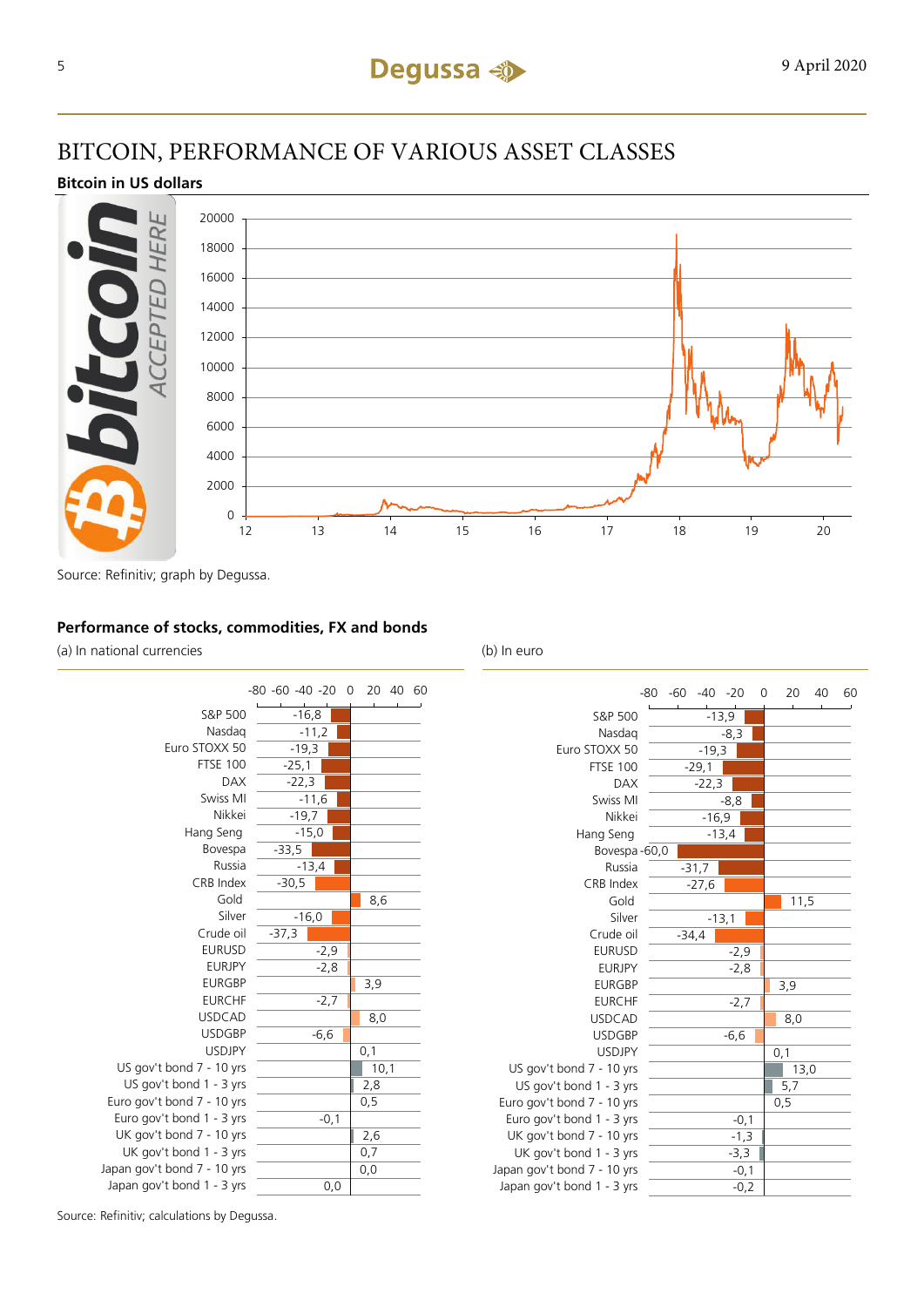# BITCOIN, PERFORMANCE OF VARIOUS ASSET CLASSES

#### **Bitcoin in US dollars**



Source: Refinitiv; graph by Degussa.

#### **Performance of stocks, commodities, FX and bonds**

(a) In national currencies (b) In euro



|                             | -80 | $-60 - 40 - 20$ |         |         |        | 0 | 20   | 40 | 60 |
|-----------------------------|-----|-----------------|---------|---------|--------|---|------|----|----|
| S&P 500                     |     |                 |         | $-13,9$ |        |   |      |    |    |
| Nasdag                      |     |                 |         | $-8,3$  |        |   |      |    |    |
| Euro STOXX 50               |     |                 | $-19,3$ |         |        |   |      |    |    |
| <b>FTSE 100</b>             |     |                 | $-29,1$ |         |        |   |      |    |    |
| <b>DAX</b>                  |     |                 | $-22,3$ |         |        |   |      |    |    |
| Swiss MI                    |     |                 |         | $-8,8$  |        |   |      |    |    |
| Nikkei                      |     |                 | $-16,9$ |         |        |   |      |    |    |
| Hang Seng                   |     |                 |         | $-13,4$ |        |   |      |    |    |
| Bovespa-60,0                |     |                 |         |         |        |   |      |    |    |
| Russia                      |     |                 | $-31,7$ |         |        |   |      |    |    |
| CRB Index                   |     |                 | $-27,6$ |         |        |   |      |    |    |
| Gold                        |     |                 |         |         |        |   | 11,5 |    |    |
| Silver                      |     |                 |         | $-13,1$ |        |   |      |    |    |
| Crude oil                   |     | $-34,4$         |         |         |        |   |      |    |    |
| <b>EURUSD</b>               |     |                 |         |         | $-2,9$ |   |      |    |    |
| <b>EURJPY</b>               |     |                 |         |         | $-2,8$ |   |      |    |    |
| <b>EURGBP</b>               |     |                 |         |         |        |   | 3,9  |    |    |
| <b>EURCHF</b>               |     |                 |         |         | $-2,7$ |   |      |    |    |
| <b>USDCAD</b>               |     |                 |         |         |        |   | 8,0  |    |    |
| <b>USDGBP</b>               |     |                 |         | $-6,6$  |        |   |      |    |    |
| <b>USDJPY</b>               |     |                 |         |         |        |   | 0,1  |    |    |
| US gov't bond 7 - 10 yrs    |     |                 |         |         |        |   | 13,0 |    |    |
| US gov't bond 1 - 3 yrs     |     |                 |         |         |        |   | 5,7  |    |    |
| Euro gov't bond 7 - 10 yrs  |     |                 |         |         |        |   | 0, 5 |    |    |
| Euro gov't bond 1 - 3 yrs   |     |                 |         |         | $-0,1$ |   |      |    |    |
| UK gov't bond 7 - 10 yrs    |     |                 |         |         | $-1,3$ |   |      |    |    |
| UK gov't bond 1 - 3 yrs     |     |                 |         |         | $-3,3$ |   |      |    |    |
| Japan gov't bond 7 - 10 yrs |     |                 |         |         | $-0,1$ |   |      |    |    |
| Japan gov't bond 1 - 3 yrs  |     |                 |         |         | $-0,2$ |   |      |    |    |

Source: Refinitiv; calculations by Degussa.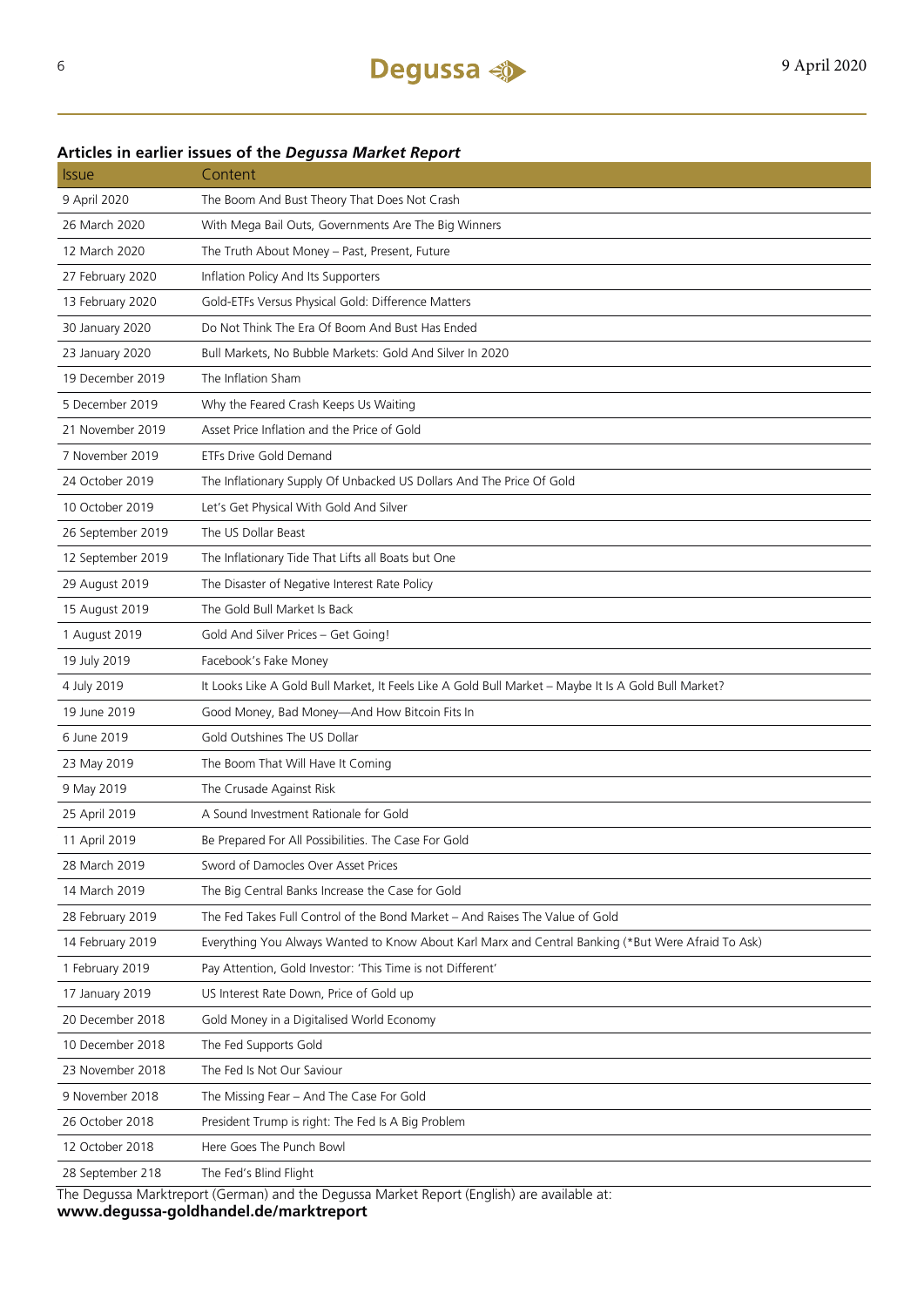### 9 April 2020 The Boom And Bust Theory That Does Not Crash 26 March 2020 With Mega Bail Outs, Governments Are The Big Winners 12 March 2020 The Truth About Money – Past, Present, Future 27 February 2020 Inflation Policy And Its Supporters 13 February 2020 Gold-ETFs Versus Physical Gold: Difference Matters 30 January 2020 Do Not Think The Era Of Boom And Bust Has Ended 23 January 2020 Bull Markets, No Bubble Markets: Gold And Silver In 2020 19 December 2019 The Inflation Sham 5 December 2019 Why the Feared Crash Keeps Us Waiting 21 November 2019 Asset Price Inflation and the Price of Gold 7 November 2019 ETFs Drive Gold Demand 24 October 2019 The Inflationary Supply Of Unbacked US Dollars And The Price Of Gold 10 October 2019 Let's Get Physical With Gold And Silver 26 September 2019 The US Dollar Beast 12 September 2019 The Inflationary Tide That Lifts all Boats but One 29 August 2019 The Disaster of Negative Interest Rate Policy 15 August 2019 The Gold Bull Market Is Back 1 August 2019 Gold And Silver Prices – Get Going! 19 July 2019 Facebook's Fake Money 4 July 2019 It Looks Like A Gold Bull Market, It Feels Like A Gold Bull Market – Maybe It Is A Gold Bull Market? 19 June 2019 Good Money, Bad Money—And How Bitcoin Fits In 6 June 2019 Gold Outshines The US Dollar 23 May 2019 The Boom That Will Have It Coming 9 May 2019 The Crusade Against Risk 25 April 2019 A Sound Investment Rationale for Gold 11 April 2019 Be Prepared For All Possibilities. The Case For Gold 28 March 2019 Sword of Damocles Over Asset Prices 14 March 2019 The Big Central Banks Increase the Case for Gold 28 February 2019 The Fed Takes Full Control of the Bond Market – And Raises The Value of Gold 14 February 2019 Everything You Always Wanted to Know About Karl Marx and Central Banking (\*But Were Afraid To Ask) 1 February 2019 Pay Attention, Gold Investor: 'This Time is not Different' 17 January 2019 US Interest Rate Down, Price of Gold up 20 December 2018 Gold Money in a Digitalised World Economy 10 December 2018 The Fed Supports Gold 23 November 2018 The Fed Is Not Our Saviour 9 November 2018 The Missing Fear – And The Case For Gold 26 October 2018 President Trump is right: The Fed Is A Big Problem 12 October 2018 Here Goes The Punch Bowl 28 September 218 The Fed's Blind Flight

#### **Articles in earlier issues of the** *Degussa Market Report*

Issue Content

The Degussa Marktreport (German) and the Degussa Market Report (English) are available at: **www.degussa-goldhandel.de/marktreport**